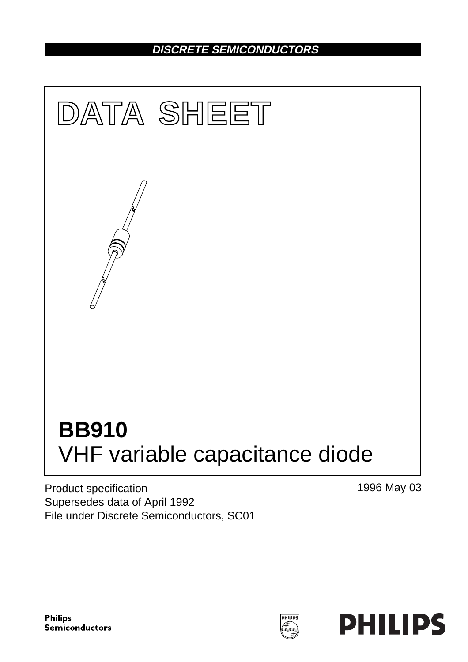# **DISCRETE SEMICONDUCTORS**



Product specification Supersedes data of April 1992 File under Discrete Semiconductors, SC01 1996 May 03

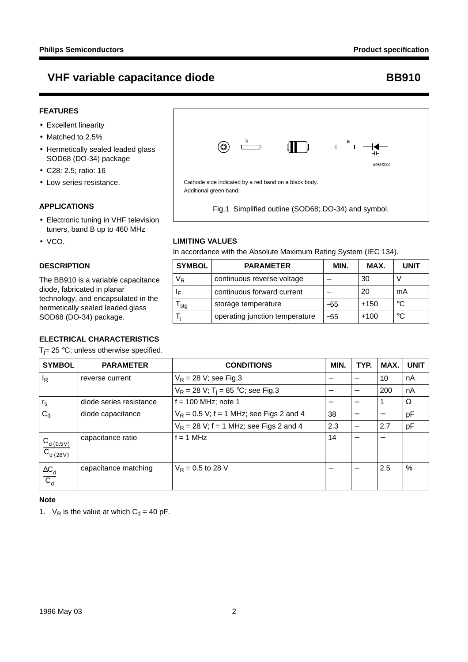# **VHF variable capacitance diode <br>
BB910**

# **FEATURES**

- Excellent linearity
- Matched to 2.5%
- Hermetically sealed leaded glass SOD68 (DO-34) package
- C28: 2.5; ratio: 16
- Low series resistance.

## **APPLICATIONS**

- Electronic tuning in VHF television tuners, band B up to 460 MHz
- VCO.

# **DESCRIPTION**

The BB910 is a variable capacitance diode, fabricated in planar technology, and encapsulated in the hermetically sealed leaded glass SOD68 (DO-34) package.

# **ELECTRICAL CHARACTERISTICS**

 $T_j$ = 25 °C; unless otherwise specified.



Fig.1 Simplified outline (SOD68; DO-34) and symbol.

# **LIMITING VALUES**

In accordance with the Absolute Maximum Rating System (IEC 134).

| <b>SYMBOL</b> | <b>PARAMETER</b>               | MIN. | MAX.   | <b>UNIT</b> |
|---------------|--------------------------------|------|--------|-------------|
| $\rm V_R$     | continuous reverse voltage     |      | 30     |             |
| ΙF            | continuous forward current     |      | 20     | mA          |
| I sta         | storage temperature            | -55  | $+150$ | °C          |
|               | operating junction temperature | -55  | $+100$ | °C          |

| <b>SYMBOL</b>                            | <b>PARAMETER</b>        | <b>CONDITIONS</b>                               | MIN.                             | TYP.                             | MAX.                             | <b>UNIT</b> |
|------------------------------------------|-------------------------|-------------------------------------------------|----------------------------------|----------------------------------|----------------------------------|-------------|
| lŖ                                       | reverse current         | $V_R$ = 28 V; see Fig.3                         | $\overbrace{\phantom{12322111}}$ | $\overline{\phantom{m}}$         | 10                               | nA          |
|                                          |                         | $V_R$ = 28 V; T <sub>i</sub> = 85 °C; see Fig.3 |                                  |                                  | 200                              | nA          |
| $r_{\rm s}$                              | diode series resistance | $f = 100$ MHz; note 1                           |                                  |                                  |                                  | Ω           |
| $C_{d}$                                  | diode capacitance       | $V_R$ = 0.5 V; f = 1 MHz; see Figs 2 and 4      | 38                               | -                                |                                  | рF          |
|                                          |                         | $V_R$ = 28 V; f = 1 MHz; see Figs 2 and 4       | 2.3                              |                                  | 2.7                              | pF          |
| $C_{d(0.5V)}$<br>$\overline{C_{d(28V)}}$ | capacitance ratio       | $f = 1$ MHz                                     | 14                               | $\overbrace{\phantom{12322111}}$ | $\overbrace{\phantom{12322111}}$ |             |
| $\frac{\Delta C_d}{C_d}$                 | capacitance matching    | $V_R = 0.5$ to 28 V                             | $\overbrace{\phantom{12322111}}$ |                                  | 2.5                              | $\%$        |

### **Note**

1.  $V_R$  is the value at which  $C_d = 40$  pF.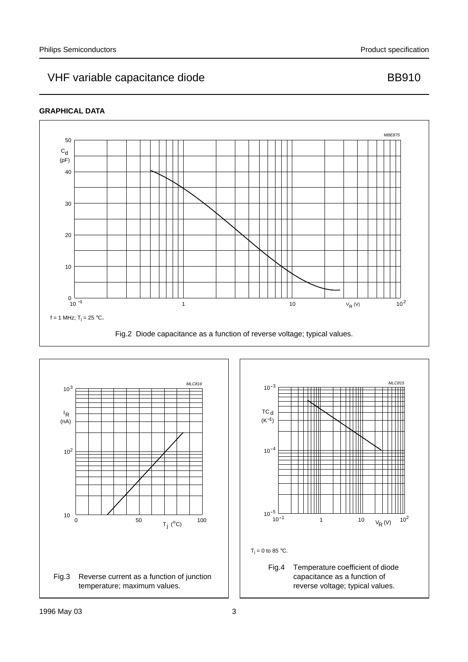# VHF variable capacitance diode BB910

# **GRAPHICAL DATA**